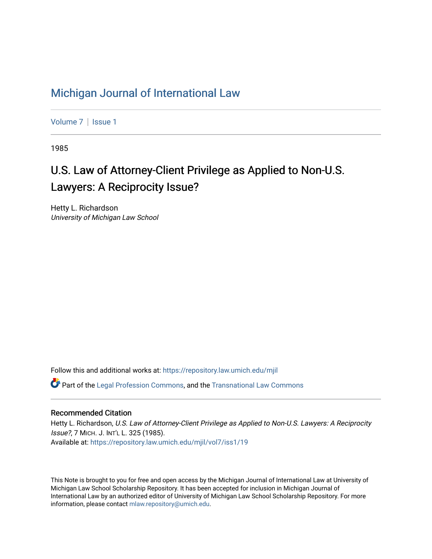### [Michigan Journal of International Law](https://repository.law.umich.edu/mjil)

[Volume 7](https://repository.law.umich.edu/mjil/vol7) | Issue 1

1985

# U.S. Law of Attorney-Client Privilege as Applied to Non-U.S. Lawyers: A Reciprocity Issue?

Hetty L. Richardson University of Michigan Law School

Follow this and additional works at: [https://repository.law.umich.edu/mjil](https://repository.law.umich.edu/mjil?utm_source=repository.law.umich.edu%2Fmjil%2Fvol7%2Fiss1%2F19&utm_medium=PDF&utm_campaign=PDFCoverPages) 

 $\bullet$  Part of the [Legal Profession Commons](http://network.bepress.com/hgg/discipline/1075?utm_source=repository.law.umich.edu%2Fmjil%2Fvol7%2Fiss1%2F19&utm_medium=PDF&utm_campaign=PDFCoverPages), and the [Transnational Law Commons](http://network.bepress.com/hgg/discipline/1123?utm_source=repository.law.umich.edu%2Fmjil%2Fvol7%2Fiss1%2F19&utm_medium=PDF&utm_campaign=PDFCoverPages)

#### Recommended Citation

Hetty L. Richardson, U.S. Law of Attorney-Client Privilege as Applied to Non-U.S. Lawyers: A Reciprocity Issue?, 7 MICH. J. INT'L L. 325 (1985). Available at: [https://repository.law.umich.edu/mjil/vol7/iss1/19](https://repository.law.umich.edu/mjil/vol7/iss1/19?utm_source=repository.law.umich.edu%2Fmjil%2Fvol7%2Fiss1%2F19&utm_medium=PDF&utm_campaign=PDFCoverPages) 

This Note is brought to you for free and open access by the Michigan Journal of International Law at University of Michigan Law School Scholarship Repository. It has been accepted for inclusion in Michigan Journal of International Law by an authorized editor of University of Michigan Law School Scholarship Repository. For more information, please contact [mlaw.repository@umich.edu](mailto:mlaw.repository@umich.edu).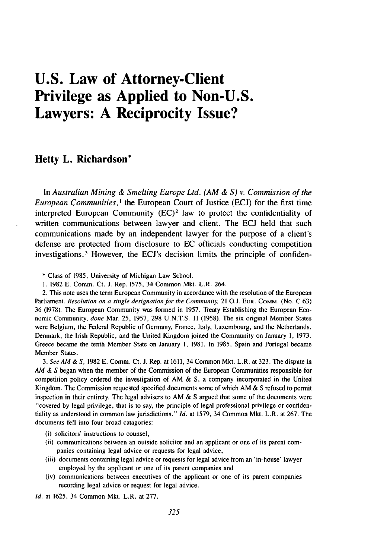## **U.S. Law of Attorney-Client Privilege as Applied to Non-U.S. Lawyers: A Reciprocity Issue?**

#### **Hetty L. Richardson\***

In *Australian Mining & Smelting Europe Ltd. (AM & S) v. Commission of the European Communities, I* the European Court of Justice (ECJ) for the first time interpreted European Community  $(EC)^2$  law to protect the confidentiality of written communications between lawyer and client. The ECJ held that such communications made by an independent lawyer for the purpose of a client's defense are protected from disclosure to EC officials conducting competition investigations. 3 However, the ECJ's decision limits the principle of confiden-

\* Class of 1985, University of Michigan Law School.

**1.** 1982 E. Comm. Ct. **J.** Rep. 1575, 34 Common Mkt. L.R. 264.

2. This note uses the term European Community in accordance with the resolution of the European Parliament. Resolution on a single designation for the Community, 21 **O.J.** EUR. COMM. (No. C 63) 36 (1978). The European Community was formed in 1957. Treaty Establishing the European Economic Community, *done* Mar. 25, 1957, 298 U.N.T.S. 11 (1958). The six original Member States were Belgium, the Federal Republic of Germany, France, Italy, Luxembourg, and the Netherlands. Denmark, the Irish Republic, and the United Kingdom joined the Community on January 1, 1973. Greece became the tenth Member State on January 1, 1981. In 1985, Spain and Portugal became Member States.

*3. See AM & S,* 1982 E. Comm. Ct. J. Rep. at 1611, 34 Common Mkt. L.R. at 323. The dispute in *AM &* S began when the member of the Commission of the European Communities responsible for competition policy ordered the investigation of AM & **S,** a company incorporated in the United Kingdom. The Commission requested specified documents some of which AM & S refused to permit inspection in their entirety. The legal advisers to AM  $&$  S argued that some of the documents were "covered by legal privilege, that is to say, the principle of legal professional privilege or confidentiality as understood in common law jurisdictions." *Id.* at 1579, 34 Common Mkt. L.R. at 267. The documents fell into four broad catagories:

- (i) solicitors' instructions to counsel,
- (ii) communications between an outside solicitor and an applicant or one of its parent companies containing legal advice or requests for legal advice,
- (iii) documents containing legal advice or requests for legal advice from an 'in-house' lawyer employed by the applicant or one of its parent companies and
- (iv) communications between executives of the applicant or one of its parent companies recording legal advice or request for legal advice.

*Id.* at 1625, 34 Common Mkt. L.R. at 277.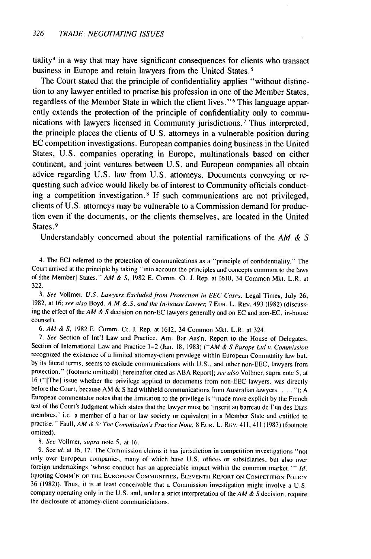tiality 4 in a way that may have significant consequences for clients who transact business in Europe and retain lawyers from the United States. <sup>5</sup>

The Court stated that the principle of confidentiality applies "without distinction to any lawyer entitled to practise his profession in one of the Member States, regardless of the Member State in which the client lives."<sup>6</sup> This language apparently extends the protection of the principle of confidentiality only to communications with lawyers licensed in Community jurisdictions. 7 Thus interpreted, the principle places the clients of U.S. attorneys in a vulnerable position during EC competition investigations. European companies doing business in the United States, U.S. companies operating in Europe, multinationals based on either continent, and joint ventures between U.S. and European companies all obtain advice regarding U.S. law from U.S. attorneys. Documents conveying or requesting such advice would likely be of interest to Community officials conducting a competition investigation.<sup>8</sup> If such communications are not privileged, clients of U.S. attorneys may be vulnerable to a Commission demand for production even if the documents, or the clients themselves, are located in the United States.<sup>9</sup>

Understandably concerned about the potential ramifications of the *AM & S*

4. The ECJ referred to the protection of communications as a "principle of confidentiality." The Court arrived at the principle by taking "into account the principles and concepts common to the laws of Ithe Member] States." AM & *S,* 1982 E. Comm. Ct. **J.** Rep. at 1610, 34 Common Mkt. L.R. at 322.

*5.* See Vollmer, U.S. Lawyers Excluded from Protection in EEC Cases, Legal Times, July **26,** 1982, at 16; see also Boyd, A.M.&.S. and the In-house Lawyer, 7 Eur. L. REv. 493 (1982) (discussing the effect of the AM & S decision on non-EC lawyers generally and on EC and non-EC, in-house counsel).

6. AM & *S.* 1982 E. Comm. Ct. **J.** Rep. at 1612, 34 Common Mkt. L.R. at 324.

7. See Section of Int'l Law and Practice, Am. Bar Ass'n, Report to the House of Delegates, Section of International Law and Practice 1-2 (Jan. 18, 1983) ("AM & S Europe Ltd v. Commission recognized the existence of a limited attorney-client privilege within European Community law but, by its literal terms, seems to exclude communications with U.S., and other non-EEC, lawyers from protection." (footnote omitted)) [hereinafter cited as ABA Report]; see also Vollmer, supra note 5, at 16 ("[The] issue whether the privilege applied to documents from non-EEC lawyers, was directly before the Court, because AM & S had withheld communications from Australian lawyers **.... ");** A European commentator notes that the limitation to the privilege is "made more explicit by the French text of the Court's Judgment which states that the lawyer must be 'inscrit au barreau de l'un des Etats membres,' i.e. a member of a bar or law society or equivalent in a Member State and entitled to practise." Faull, AM & *S:* The Commission's Practice Note. 8 EUR. L. REv. 411, 411 **(1983)** (footnote omitted).

8. See Vollmer, supra note 5, at 16.

9. See id. at 16, 17. The Commission claims it has jurisdiction in competition investigations "not only over European companies, many of which have U.S. offices or subsidiaries, but also over foreign undertakings 'whose conduct has an appreciable impact within the common market.'" Id. (quoting **COMM'N** OF TIE **EUROPEAN COMMUNIrTIES,** EuEVEN-rl REPORT **ON** COMPETITION POLICY 36 (1982)). Thus, it is at least conceivable that a Commission investigation might involve a U.S. company operating only in the U.S. and, under a strict interpretation of the  $AM & S$  decision, require the disclosure of attomey-client communiciations.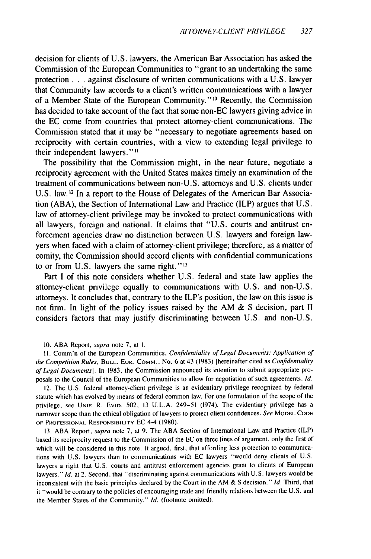decision for clients of U.S. lawyers, the American Bar Association has asked the Commission of the European Communities to "grant to an undertaking the same protection **. . .** against disclosure of written communications with a U.S. lawyer that Community law accords to a client's written communications with a lawyer of a Member State of the European Community." 10 Recently, the Commission has decided to take account of the fact that some non-EC lawyers giving advice in the EC come from countries that protect attorney-client communications. The Commission stated that it may be "necessary to negotiate agreements based on reciprocity with certain countries, with a view to extending legal privilege to their independent lawyers.""1

The possibility that the Commission might, in the near future, negotiate a reciprocity agreement with the United States makes timely an examination of the treatment of communications between non-U.S. attorneys and U.S. clients under U.S. law.<sup>12</sup> In a report to the House of Delegates of the American Bar Association (ABA), the Section of International Law and Practice (ILP) argues that U.S. law of attorney-client privilege may be invoked to protect communications with all lawyers, foreign and national. It claims that "U.S. courts and antitrust enforcement agencies draw no distinction between U.S. lawyers and foreign lawyers when faced with a claim of attorney-client privilege; therefore, as a matter of comity, the Commission should accord clients with confidential communications to or from U.S. lawyers the same right."<sup>13</sup>

Part I of this note considers whether U.S. federal and state law applies the attorney-client privilege equally to communications with U.S. and non-U.S. attorneys. It concludes that, contrary to the ILP's position, the law on this issue is not firm. In light of the policy issues raised by the AM  $&$  S decision, part II considers factors that may justify discriminating between U.S. and non-U.S.

10. ABA Report, supra note 7, at **1.**

II. Comm'n of the European Communities, Confidentiality of Legal Documents: Application of the Competition Rules, **BULL. EUR.** COMM., No. 6 at 43 (1983) [hereinafter cited as Confidentiality *of* Legal Documents]. In 1983, the Commission announced its intention to submit appropriate proposals to the Council of the European Communities to allow for negotiation of such agreements. Id.

12. The U.S. federal attorney-client privilege is an evidentiary privilege recognized by federal statute which has evolved by means of federal common law. For one formulation of the scope of the privilege, see **UNIF.** R. EvID. 502, 13 **U.L.A.** 249-51 (1974). The evidentiary privilege has a narrower scope than the ethical obligation of lawyers to protect client confidences. See MODEL **CODE OF PROFESSIONAL** RESPONSIBILrrY EC 4-4 (1980).

13. ABA Report, supra note 7, at 9. The ABA Section of International Law and Practice (ILP) based its reciprocity request to the Commission of the EC on three lines of argument, only the first of which will be considered in this note. It argued, first, that affording less protection to communications with U.S. lawyers than to communications with EC lawyers "would deny clients of U.S. lawyers a right that U.S. courts and antitrust enforcement agencies grant to clients of European lawyers." Id. at 2. Second, that "discriminating against communications with U.S. lawyers would be inconsistent with the basic principles declared by the Court in the AM  $\&$  S decision." Id. Third, that it "would be contrary to the policies of encouraging trade and friendly relations between the U.S. and the Member States of the Community." Id. (footnote omitted).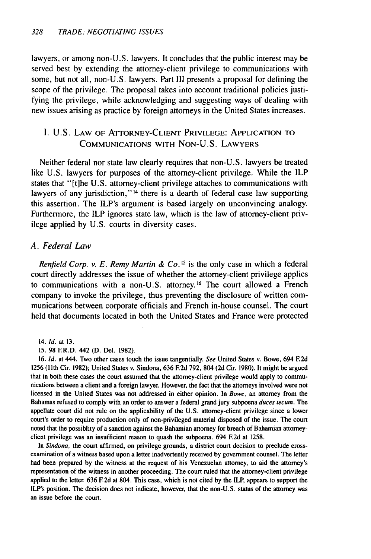lawyers, or among non-U.S. lawyers. It concludes that the public interest may be served best by extending the attorney-client privilege to communications with some, but not all, non-U.S. lawyers. Part III presents a proposal for defining the scope of the privilege. The proposal takes into account traditional policies justifying the privilege, while acknowledging and suggesting ways of dealing with new issues arising as practice by foreign attorneys in the United States increases.

#### I. U.S. LAW OF ATTORNEY-CLIENT PRIVILEGE: APPLICATION TO COMMUNICATIONS WITH NON-U.S. LAWYERS

Neither federal nor state law clearly requires that non-U.S. lawyers be treated like U.S. lawyers for purposes of the attorney-client privilege. While the ILP states that "[t]he U.S. attorney-client privilege attaches to communications with lawyers of any jurisdiction,"<sup>14</sup> there is a dearth of federal case law supporting this assertion. The ILP's argument is based largely on unconvincing analogy. Furthermore, the ILP ignores state law, which is the law of attorney-client privilege applied by U.S. courts in diversity cases.

#### *A. Federal Law*

*Renfield Corp. v. E. Remy Martin & Co.*<sup>15</sup> is the only case in which a federal court directly addresses the issue of whether the attorney-client privilege applies to communications with a non-U.S. attorney.<sup>16</sup> The court allowed a French company to invoke the privilege, thus preventing the disclosure of written communications between corporate officials and French in-house counsel. The court held that documents located in both the United States and France were protected

14. **Id.** at **13.**

15. 98 ER.D. 442 **(D.** Del. 1982).

16. *Id.* at 444. TWo other cases touch the issue tangentially. *See* United States v. Bowe, 694 **F2d** 1256 (11th Cir. 1982); United States v. Sindona, 636 **F2d** 792, 804 (2d Cir. 1980). It might be argued that in both these cases the court assumed that the attorney-client privilege would apply to communications between a client and a foreign lawyer. However, the fact that the attorneys involved were not licensed in the United States was not addressed in either opinion. In *Bowe,* an attorney from the Bahamas refused to comply with an order to answer a federal grand jury subpoena *duces tecum.* The appellate court did not rule on the applicability of the U.S. attorney-client privilege since a lower court's order to require production only of non-privileged material disposed of the issue. The court noted that the possiblity of a sanction against the Bahamian attorney for breach of Bahamian attorneyclient privilege was an insufficient reason to quash the subpoena. 694 E2d at 1258.

In *Sindona,* the court affirmed, on privilege grounds, a district court decision to preclude crossexamination of a witness based upon a letter inadvertently received by government counsel. The letter had been prepared by the witness at the request of his Venezuelan attorney, to aid the attorney's representation of the witness in another proceeding. The court ruled that the attorney-client privilege applied to the letter. 636 **E2d** at 804. This case, which is not cited by the ILP, appears to support the ILP's position. The decision does not indicate, however, that the non-U.S. status of the attorney was an issue before the court.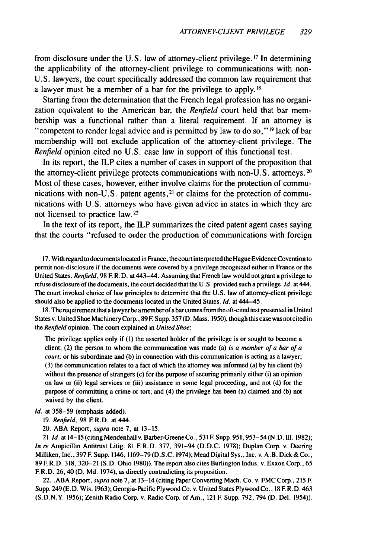from disclosure under the U.S. law of attorney-client privilege. **1 <sup>7</sup>**In determining the applicability of the attorney-client privilege to communications with non-U.S. lawyers, the court specifically addressed the common law requirement that a lawyer must be a member of a bar for the privilege to apply. **1 8**

Starting from the determination that the French legal profession has no organization equivalent to the American bar, the *Renfield* court held that bar membership was a functional rather than a literal requirement. If an attorney is "competent to render legal advice and is permitted by law to do so,"<sup>19</sup> lack of bar membership will not exclude application of the attorney-client privilege. The *Renfield* opinion cited no U.S. case law in support of this functional test.

In its report, the ILP cites a number of cases in support of the proposition that the attorney-client privilege protects communications with non-U.S. attorneys.<sup>20</sup> Most of these cases, however, either involve claims for the protection of communications with non-U.S. patent agents,  $2<sup>1</sup>$  or claims for the protection of communications with U.S. attorneys who have given advice in states in which they are not licensed to practice law. **22**

In the text of its report, the ILP summarizes the cited patent agent cases saying that the courts "refused to order the production of communications with foreign

17. With regard to documents located in France, the court interpreted the Hague Evidence Covention to permit non-disclosure if the documents were covered by a privilege recognized either in France or the United States. Renfield, 98 F. R.D. at 443-44. Assuming that French law would not grant a privilege to refuse disclosure of the documents, the court decided that the U.S. provided such a privilege. *Id.* at 444. The court invoked choice of law principles to determine that the U.S. law of attomey-client privilege should also be applied to the documents located in the United States. *Id.* at 444-45.

18. The requirement that a lawyer be amemberof abarcomes from the oft-cited test presented in United States v. United Shoe Machinery Corp., 89 **F** Supp. 357 (D. Mass. 1950), though this case wasnotcited in the *Renfield* opinion. The court explained in *United Shoe:*

The privilege applies only if (1) the asserted holder of the privilege is or sought to become a client; (2) the person to whom the communication was made (a) *is a member of a bar of a court,* or his subordinate and (b) in connection with this communication is acting as a lawyer; (3) the communication relates to a fact of which the attorney was informed (a) by his client (b) without the presence of strangers (c) for the purpose of securing primarily either (i) an opinion on law or (ii) legal services or (iii) assistance in some legal proceeding, and not **(d)** for the purpose of committing a crime or tort; and (4) the privilege has been (a) claimed and **(b)** not waived **by** the client.

*Id.* at **358-59** (emphasis added).

**19.** Renfield, **98 F. R.D.** at 444.

20. **ABA** Report, supra note **7,** at **13-15.**

21. **Id.** at 14-15 (citing Mendenhall v. Barber-Greene Co., **531 F** Supp. **951,953-54 (N.D. Ill. 1982);** *In* re Ampicillin Antitrust Litig. **81** F. R.D. **377,** 391-94 **(D.D.C. 1978);** Duplan Corp. v. Deering Milliken, lnc'., **397 F** Supp. **1146, 1169-79 (D.S.C.** 1974); Mead Digital Sys., lnc. v. A.B. Dick **&** Co., **89 E** R.D. **318, 320-21 (S.D.** Ohio **1980)).** The report also cites Burlington Indus. v. Exxon Corp., **65 F. R.D. 26, 40 (D. Md.** 1974), as directly contradicting its proposition.

22. **.ABA** Report, supra note **7,** at 13-14 (citing Paper Converting Mach. Co. v. FMC Corp., **215** F. Supp. 249 **(E.D.** Wis. **1963);** Georgia-Pacific Plywood Co. v. United States Plywood Co., **18** F R.D. 463 **(S.D.N.Y. 1956);** Zenith Radio Corp. v. Radio Corp. of Am., 121 **E** Supp. **792,** 794 **(D.** Del. 1954)).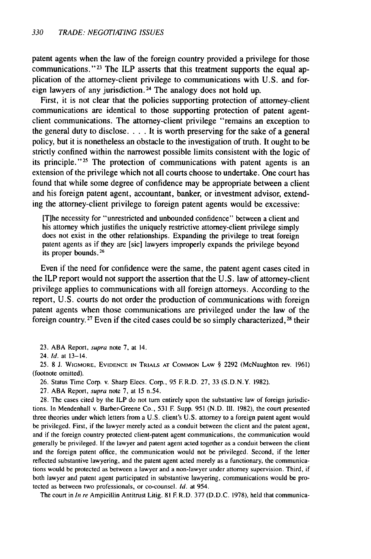patent agents when the law of the foreign country provided a privilege for those communications."<sup>23</sup> The ILP asserts that this treatment supports the equal application of the attorney-client privilege to communications with U.S. and foreign lawyers of any jurisdiction. 24 The analogy does not hold up.

First, it is not clear that the policies supporting protection of attorney-client communications are identical to those supporting protection of patent agentclient communications. The attorney-client privilege "remains an exception to the general duty to disclose. . **.** .It is worth preserving for the sake of a general policy, but it is nonetheless an obstacle to the investigation of truth. It ought to be strictly confined within the narrowest possible limits consistent with the logic of its principle."<sup>25</sup> The protection of communications with patent agents is an extension of the privilege which not all courts choose to undertake. One court has found that while some degree of confidence may be appropriate between a client and his foreign patent agent, accountant, banker, or investment advisor, extending the attorney-client privilege to foreign patent agents would be excessive:

[T]he necessity for "unrestricted and unbounded confidence" between a client and his attorney which justifies the uniquely restrictive attorney-client privilege simply does not exist in the other relationships. Expanding the privilege to treat foreign patent agents as if they are [sic] lawyers improperly expands the privilege beyond its proper bounds. <sup>26</sup>

Even if the need for confidence were the same, the patent agent cases cited in the ILP report would not support the assertion that the U.S. law of attorney-client privilege applies to communications with all foreign attorneys. According to the report, U.S. courts do not order the production of communications with foreign patent agents when those communications are privileged under the law of the foreign country.<sup>27</sup> Even if the cited cases could be so simply characterized,<sup>28</sup> their

23. ABA Report, supra note 7, at 14.

24. Id. at 13-14.

25. 8 J. WIGMORE, EVIDENCE **IN** TRIALS **AT COMMON** LAW § 2292 (McNaughton rev. 1961) (footnote omitted).

26. Status Time Corp. v. Sharp Elecs. Corp., 95 **F** R.D. 27, 33 (S.D.N.Y. 1982).

27. ABA Report, supra note 7, at **15** n.54.

28. The cases cited by the ILP do not turn entirely upon the substantive law of foreign jurisdictions. In Mendenhall v. Barber-Greene Co., 531 F. Supp. 951 (N.D. **111.** 1982), the court presented three theories under which letters from a U.S. client's U.S. attorney to a foreign patent agent would be privileged. First, if the lawyer merely acted as a conduit between the client and the patent agent, and if the foreign country protected client-patent agent communications, the communication would generally be privileged. **If** the lawyer and patent agent acted together as a conduit between the client and the foreign patent office, the communication would not be privileged. Second, if the letter reflected substantive lawyering, and the patent agent acted merely as a functionary, the communications would be protected as between a lawyer and a non-lawyer under attorney supervision. Third, if both lawyer and patent agent participated in substantive lawyering, communications would be protected as between two professionals, or co-counsel. Id. at 954.

The court in In re Ampicillin Antitrust Litig. 81 **F** R.D. 377 (D.D.C. 1978), held that communica-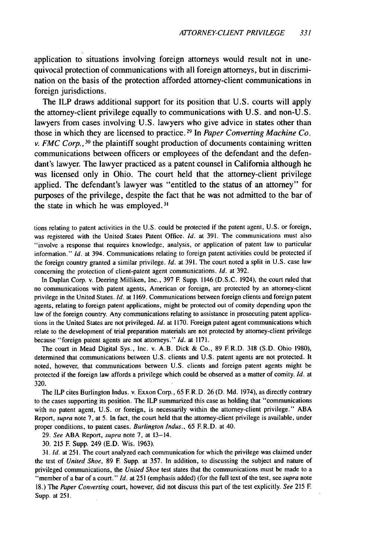application to situations involving foreign attorneys would result not in unequivocal protection of communications with all foreign attorneys, but in discrimination on the basis of the protection afforded attorney-client communications in foreign jurisdictions.

The ILP draws additional support for its position that U.S. courts will apply the attorney-client privilege equally to communications with U.S. and non-U.S. lawyers from cases involving U.S. lawyers who give advice in states other than those in which they are licensed to practice.<sup>29</sup> In *Paper Converting Machine Co. v. FMC Corp.,* 30 the plaintiff sought production of documents containing written communications between officers or employees of the defendant and the defendant's lawyer. The lawyer practiced as a patent counsel in California although he was licensed only in Ohio. The court held that the attorney-client privilege applied. The defendant's lawyer was "entitled to the status of an attorney" for purposes of the privilege, despite the fact that he was not admitted to the bar of the state in which he was employed. **31**

tions relating to patent activities in the U.S. could be protected if the patent agent, U.S. or foreign, was registered with the United States Patent Office. *Id.* at 391. The communications must also "involve a response that requires knowledge, analysis, or application of patent law to particular information." *Id.* at 394. Communications relating to foreign patent activities could be protected if the foreign country granted a similar privilege. **Id.** at 391. The court noted a split in U.S. case law concerning the protection of client-patent agent communications. Id. at 392.

In Duplan Corp. v. Deering Milliken, Inc., **397** F Supp. 1146 (D.S.C. 1924), the court ruled that no communications with patent agents, American or foreign, are protected **by** an attorey-client privilege in the United States. Id. at 1169. Communications between foreign clients and foreign patent agents, relating to foreign patent applications, might be protected out of comity depending upon the law of the foreign country. Any communications relating to assistance in prosecuting patent applications in the United States are not privileged. *id.* at 1170. Foreign patent agent communications which relate to the development of trial preparation materials are not protected **by** attorney-client privilege because "foreign patent agents are not attorneys." **Id.** at 1171.

The court in Mead Digital Sys., Inc. v. A.B. Dick & Co., **89** F.R.D. **318** (S.D. Ohio 1980), determined that communications between U.S. clients and U.S. patent agents are not protected. It noted, however, that communications between U.S. clients and foreign patent agents might be protected if the foreign law affords a privilege which could be observed as a matter of comity. **Id.** at 320.

The ILP cites Burlington Indus. v. Exxon Corp., 65 **F R.D.** 26 **(D.** Md. 1974), as directly contrary to the cases supporting its position. The ILP summarized this case as holding that "communications with no patent agent, U.S. or foreign, is necessarily within the attorney-client privilege." **ABA** Report, supra note 7, at 5. In fact, the court held that the attorney-client privilege is available, under proper conditions, to patent cases. Burlington Indus., 65 F.R.D. at 40.

29. See **ABA** Report, supra note **7,** at 13-14.

30. 215 F Supp. 249 (E.D. Wis. 1963).

31. **Id.** at 251. The court analyzed each communication for which the privilege was claimed under the test of United Shoe, **89 F** Supp. at 357. In addition, to discussing the subject and nature of privileged communications, the United Shoe test states that the communications must be made to a "member of a bar of a court." **Id.** at 251 (emphasis added) (for the full text of the test, see *supra* note 18.) The Paper Converting court, however, did not discuss this part of the test explicitly. See 215 **F** Supp. at 251.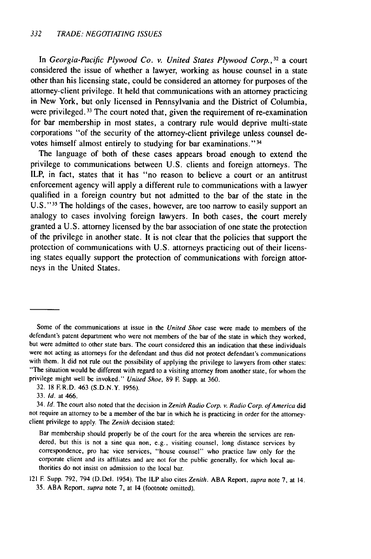In *Georgia-Pacific Plywood Co. v. United States Plywood Corp.,* **<sup>32</sup>**a court considered the issue of whether a lawyer, working as house counsel in a state other than his licensing state, could be considered an attorney for purposes of the attorney-client privilege. It held that communications with an attorney practicing in New York, but only licensed in Pennsylvania and the District of Columbia, were privileged. 33 The court noted that, given the requirement of re-examination for bar membership in most states, a contrary rule would deprive multi-state corporations "of the security of the attorney-client privilege unless counsel devotes himself almost entirely to studying for bar examinations."<sup>34</sup>

The language of both of these cases appears broad enough to extend the privilege to communications between **U.S.** clients and foreign attorneys. The ILP, in fact, states that it has **"no** reason to believe a court or an antitrust enforcement agency will apply a different rule to communications with a lawyer qualified in a foreign country but not admitted to the bar of the state in the **U.S." <sup>35</sup>**The holdings of the cases, however, are too narrow to easily support an analogy to cases involving foreign lawyers. In both cases, the court merely granted a **U.S.** attorney licensed **by** the bar association of one state the protection of the privilege in another state. It is not clear that the policies that support the protection of communications with **U.S.** attorneys practicing out of their licensing states equally support the protection of communications with foreign attorneys in the United States.

Some of the communications at issue in the United Shoe case were made to members of the defendant's patent department who were not members of the bar of the state in which they worked, but were admitted to other state bars. The court considered this an indication that these individuals were not acting as attorneys for the defendant and thus did not protect defendant's communications with them. It did not rule out the possibility of applying the privilege to lawyers from other states: "The situation would be different with regard to a visiting attorney from another state, for whom the privilege might well be invoked." United Shoe, **89 E** Supp. at **360.**

**<sup>32. 18</sup> F.R.D.** 463 **(S.D.N.Y. 1956).**

**<sup>33.</sup> Id.** at 466.

<sup>34.</sup> **Id.** The court also noted that the decision in Zenith Radio Corp. v. Radio Corp. of America did not require an attorney to be a member of the bar in which he is practicing in order for the attorneyclient privilege to apply. The Zenith decision stated:

Bar membership should properly be of the court for the area wherein the services are rendered, but this is not a sine qua non, e.g., visiting counsel, long distance services **by** correspondence, pro hac vice services, "house counsel" who practice law only for the corporate client and its affiliates and are not for the public generally, for which local authorities do not insist on admission to the local bar.

**<sup>121</sup>** F Supp. **792,** 794 (D.Del. 1954). The ILP also cites Zenith. **ABA** Report, supra note **7,** at **14. 35. ABA** Report, supra note **7,** at **14** (footnote omitted).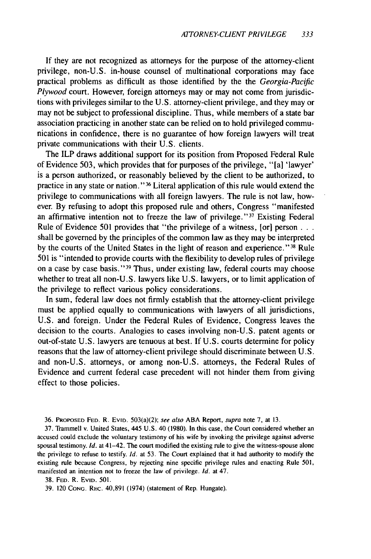If they are not recognized as attorneys for the purpose of the attorney-client privilege, non-U.S. in-house counsel of multinational corporations may face practical problems as difficult as those identified by the the *Georgia-Pacific Plywood* court. However, foreign attorneys may or may not come from jurisdictions with privileges similar to the U.S. attorney-client privilege, and they may or may not be subject to professional discipline. Thus, while members of a state bar association practicing in another state can be relied on to hold privileged communications in confidence, there is no guarantee of how foreign lawyers will treat private communications with their U.S. clients.

The ILP draws additional support for its position from Proposed Federal Rule of Evidence 503, which provides that for purposes of the privilege, "[a] 'lawyer' is a person authorized, or reasonably believed by the client to be authorized, to practice in any state or nation." 36 Literal application of this rule would extend the privilege to communications with all foreign lawyers. The rule is not law, however. By refusing to adopt this proposed rule and others, Congress "manifested an affirmative intention not to freeze the law of privilege."<sup>37</sup> Existing Federal Rule of Evidence 501 provides that "the privilege of a witness, [or] person... shall be governed by the principles of the common law as they may be interpreted by the courts of the United States in the light of reason and experience."<sup>38</sup> Rule 501 is "intended to provide courts with the flexibility to develop rules of privilege on a case by case basis."<sup>39</sup> Thus, under existing law, federal courts may choose whether to treat all non-U.S. lawyers like U.S. lawyers, or to limit application of the privilege to reflect various policy considerations.

In sum, federal law does not firmly establish that the attorney-client privilege must be applied equally to communications with lawyers of all jurisdictions, U.S. and foreign. Under the Federal Rules of Evidence, Congress leaves the decision to the courts. Analogies to cases involving non-U.S. patent agents or out-of-state U.S. lawyers are tenuous at best. If U.S. courts determine for policy reasons that the law of attorney-client privilege should discriminate between U.S. and non-U.S. attorneys, or among non-U.S. attorneys, the Federal Rules of Evidence and current federal case precedent will not hinder them from giving effect to those policies.

36. PROPOSED **FED.** R. **EviD.** 503(a)(2); see also ABA Report, supra note **7,** at 13.

37. Trammell v. United States, 445 U.S. 40 (1980). In this case, the Court considered whether an accused could exclude the voluntary testimony of his wife by invoking the privilege against adverse spousal testimony. *Id.* at 41-42. The court modified the existing rule to give the witness-spouse alone the privilege to refuse to testify. *Id.* at 53. The Court explained that it had authority to modify the existing rule because Congress, by rejecting nine specific privilege rules and enacting Rule 501, manifested an intention not to freeze the law of privilege. *Id.* at 47.

38. **FED.** R. EviD. 501.

39. 120 CONG. REC. 40,891 (1974) (statement of Rep. Hungate).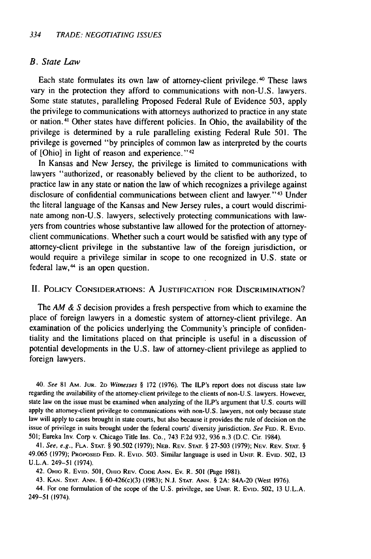#### B. State Law

Each state formulates its own law of attorney-client privilege. 40 These laws vary in the protection they afford to communications with non-U.S. lawyers. Some state statutes, paralleling Proposed Federal Rule of Evidence 503, apply the privilege to communications with attorneys authorized to practice in any state or nation.41 Other states have different policies. In Ohio, the availability of the privilege is determined by a rule paralleling existing Federal Rule 501. The privilege is governed "by principles of common law as interpreted by the courts of [Ohio] in light of reason and experience." <sup>42</sup>

In Kansas and New Jersey, the privilege is limited to communications with lawyers "authorized, or reasonably believed by the client to be authorized, to practice law in any state or nation the law of which recognizes a privilege against disclosure of confidential communications between client and lawyer."<sup>43</sup> Under the literal language of the Kansas and New Jersey rules, a court would discriminate among non-U.S. lawyers, selectively protecting communications with lawyers from countries whose substantive law allowed for the protection of attorneyclient communications. Whether such a court would be satisfied with any type of attorney-client privilege in the substantive law of the foreign jurisdiction, or would require a privilege similar in scope to one recognized in U.S. state or federal law, 44 is an open question.

#### II. POLICY **CONSIDERATIONS: A JUSTIFICATION FOR DISCRIMINATION?**

The AM *&* S decision provides a fresh perspective from which to examine the place of foreign lawyers in a domestic system of attorney-client privilege. An examination of the policies underlying the Community's principle of confidentiality and the limitations placed on that principle is useful in a discussion of potential developments in the U.S. law of attorney-client privilege as applied to foreign lawyers.

40. See **81** AM. **JUR. 2D** Witnesses *§* 172 (1976). The ILP's report does not discuss state law regarding the availability of the attorney-client privilege to the clients of non-U.S. lawyers. However, state law on the issue must be examined when analyzing of the ILP's argument that U.S. courts will apply the attorney-client privilege to communications with non-U.S. lawyers, not only because state law will apply to cases brought in state courts, but also because it provides the rule of decision on the issue of privilege in suits brought under the federal courts' diversity jurisdiction. See **FED.** R. EVID. 501; Eureka Inv. Corp v. Chicago Title Ins. Co., 743 **F.2d** 932, 936 n.3 (D.C. Cir. 1984).

41. See, e.g., **FLA. STAT.** § 90.502 (1979); NEB. REV. **STAT.** § 27-503 (1979); NEV. REV. **STAT.** § 49.065 (1979); PROPOSED **FED.** R. EvID. 503. Similar language is used in **UNiF.** R. EVID. 502, 13 **U.L.A.** 249-51 (1974).

42. Omo R. **EvID.** 501, OHno REV. CODE **ANN.** Ev. R. 501 (Page 1981).

43. **KAN. STAT. ANN.** § 60-426(c)(3) (1983); N.J. **STAT. ANN.** § 2A: 84A-20 (West 1976).

44. For one formulation of the scope of the U.S. privilege, see **UNIF.** R. **EVID.** 502, 13 U.L.A. 249-51 (1974).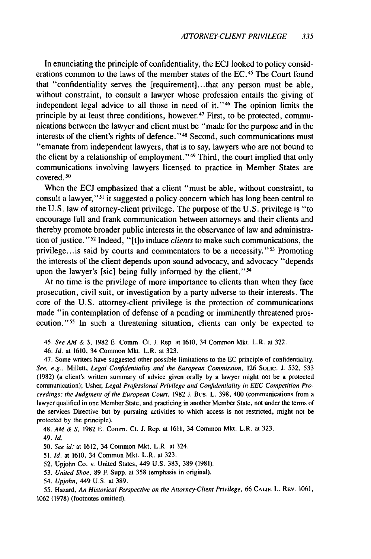In enunciating the principle of confidentiality, the ECJ looked to policy considerations common to the laws of the member states of the EC.<sup>45</sup> The Court found that "confidentiality serves the [requirement].. .that any person must be able, without constraint, to consult a lawyer whose profession entails the giving of independent legal advice to all those in need of it." 46 The opinion limits the principle by at least three conditions, however.<sup>47</sup> First, to be protected, communications between the lawyer and client must be "made for the purpose and in the interests of the client's rights of defence." 48 Second, such communications must "emanate from independent lawyers, that is to say, lawyers who are not bound to the client by a relationship of employment." 49 Third, the court implied that only communications involving lawyers licensed to practice in Member States are  $covered<sub>1</sub>$ <sup>50</sup>

When the ECJ emphasized that a client "must be able, without constraint, to consult a lawyer,"<sup>51</sup> it suggested a policy concern which has long been central to the U.S. law of attorney-client privilege. The purpose of the U.S. privilege is "to encourage full and frank communication between attorneys and their clients and thereby promote broader public interests in the observance of law and administration of justice."<sup>52</sup> Indeed, "[t]o induce *clients* to make such communications, the privilege... is said by courts and commentators to be a necessity." 53 Promoting the interests of the client depends upon sound advocacy, and advocacy "depends upon the lawyer's [sic] being fully informed by the client."<sup>54</sup>

At no time is the privilege of more importance to clients than when they face prosecution, civil suit, or investigation by a party adverse to their interests. The core of the U.S. attorney-client privilege is the protection of communications made "in contemplation of defense of a pending or imminently threatened prosecution."<sup>55</sup> In such a threatening situation, clients can only be expected to

45. See AM & **S,** 1982 E. Comm. Ct. J. Rep. at 1610, 34 Common Mkt. L.R. at 322.

46. Id. at 1610, 34 Common Mkt. L.R. at 323.

47. Some writers have suggested other possible limitations to the EC principle of confidentiality. See, e.g., Millett, Legal Confidentiality and the European Commission, 126 Souc. **J.** 532, 533 (1982) (a client's written summary of advice given orally by a lawyer might not be a protected communication); Usher, Legal Professional Privilege and Confidentiality in EEC Competition Proceedings; the Judgment of the European Court, 1982 J. Bus. L. 398, 400 (communications from a lawyer qualified in one Member State, and practicing in another Member State, not under the terms of the services Directive but by pursuing activities to which access is not restricted, might not be protected by the principle).

48. AM & **S,** 1982 E. Comm. Ct. **J.** Rep. at 1611, 34 Common Mkt. L.R. at 323.

49. Id.

50. See id: at 1612, 34 Common Mkt. L.R. at 324.

51. Id. at 1610, 34 Common Mkt. L.R. at 323.

52. Upjohn Co. v. United States, 449 U.S. 383, 389 (1981).

53. United Shoe, 89 **E** Supp. at 358 (emphasis in original).

54. Upjohn, 449 U.S. at 389.

55. Hazard, An Historical Perspective on the Attorney-Client Privilege, 66 **CALF.** L. REV. 1061, 1062 (1978) (footnotes omitted).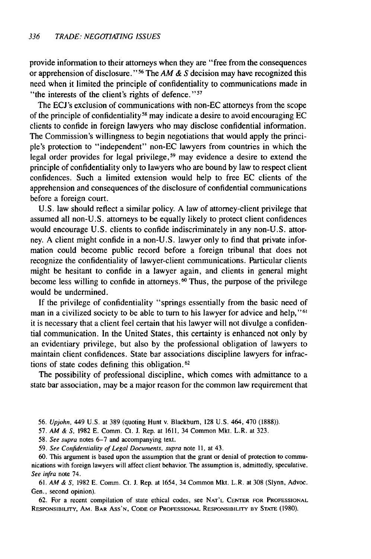provide information to their attorneys when they are "free from the consequences or apprehension of disclosure." <sup>56</sup> The  $AM \& S$  decision may have recognized this need when it limited the principle of confidentiality to communications made in "the interests of the client's rights of defence."<sup>57</sup>

The ECJ's exclusion of communications with non-EC attorneys from the scope of the principle of confidentiality<sup>58</sup> may indicate a desire to avoid encouraging EC clients to confide in foreign lawyers who may disclose confidential information. The Commission's willingness to begin negotiations that would apply the principie's protection to "independent" non-EC lawyers from countries in which the legal order provides for legal privilege,<sup>59</sup> may evidence a desire to extend the principle of confidentiality only to lawyers who are bound by law to respect client confidences. Such a limited extension would help to free EC clients of the apprehension and consequences of the disclosure of confidential communications before a foreign court.

U.S. law should reflect a similar policy. A law of attorney-client privilege that assumed all non-U.S. attorneys to be equally likely to protect client confidences would encourage U.S. clients to confide indiscriminately in any non-U.S. attorney. A client might confide in a non-U.S. lawyer only to find that private information could become public record before a foreign tribunal that does not recognize the confidentiality of lawyer-client communications. Particular clients might be hesitant to confide in a lawyer again, and clients in general might become less willing to confide in attorneys.<sup>60</sup> Thus, the purpose of the privilege would be undermined.

If the privilege of confidentiality "springs essentially from the basic need of man in a civilized society to be able to turn to his lawyer for advice and help,"<sup>61</sup> it is necessary that a client feel certain that his lawyer will not divulge a confidential communication. In the United States, this certainty is enhanced not only by an evidentiary privilege, but also by the professional obligation of lawyers to maintain client confidences. State bar associations discipline lawyers for infractions of state codes defining this obligation. <sup>62</sup>

The possibility of professional discipline, which comes with admittance to a state bar association, may be a major reason for the common law requirement that

- 56. *Upjohn,* 449 U.S. at **389** (quoting Hunt v. Blackburn, **128** U.S. 464, 470 **(1888)).**
- 57. *AM &* **S,** 1982 E. Comm. Ct. J. Rep. at 1611, 34 Common Mkt. L.R. at 323.
- 58. See supra notes 6-7 and accompanying text.
- 59. See Confidentiality of Legal Documents, supra note **11,** at 43.

60. This argument is based upon the assumption that the grant or denial of protection to communications with foreign lawyers will affect client behavior. The assumption is, admittedly, speculative. See infra note 74.

61. AM & **S,** 1982 E. Comm. Ct. **J.** Rep. at 1654, 34 Common Mkt. L.R. at 308 (Slynn, Advoc. Gen., second opinion).

62. For a recent compilation of state ethical codes, see **NAT'L CENTER** FOR **PROFESSIONAL** RESPONSIBILITY, AM. BAR Ass'N, **CODE** OF **PROFESSIONAL** RESPONSIBILITY BY **STATE** (1980).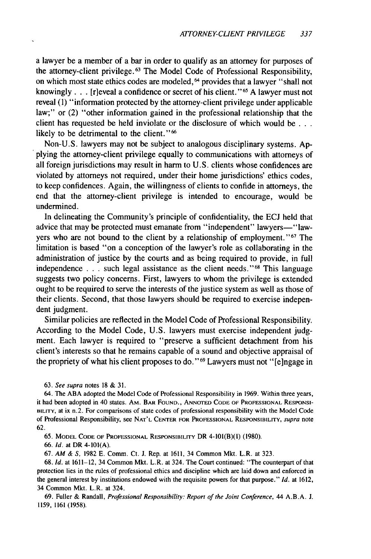a lawyer be a member of a bar in order to qualify as an attorney for purposes of the attorney-client privilege. 63 The Model Code of Professional Responsibility, on which most state ethics codes are modeled,<sup>64</sup> provides that a lawyer "shall not knowingly . . . [r]eveal a confidence or secret of his client."<sup>65</sup> A lawyer must not reveal (1) "information protected by the attorney-client privilege under applicable law;" or (2) "other information gained in the professional relationship that the client has requested be held inviolate or the disclosure of which would be **...** likely to be detrimental to the client."<sup>66</sup>

Non-U.S. lawyers may not be subject to analogous disciplinary systems. Applying the attorney-client privilege equally to communications with attorneys of all foreign jurisdictions may result in harm to U.S. clients whose confidences are violated by attorneys not required, under their home jurisdictions' ethics codes, to keep confidences. Again, the willingness of clients to confide in attorneys, the end that the attorney-client privilege is intended to encourage, would be undermined.

In delineating the Community's principle of confidentiality, the ECJ held that advice that may be protected must emanate from "independent" lawyers-"lawyers who are not bound to the client by a relationship of employment."<sup>67</sup> The limitation is based "on a conception of the lawyer's role as collaborating in the administration of justice by the courts and as being required to provide, in full independence  $\ldots$  such legal assistance as the client needs." <sup>68</sup> This language suggests two policy concerns. First, lawyers to whom the privilege is extended ought to be required to serve the interests of the justice system as well as those of their clients. Second, that those lawyers should be required to exercise independent judgment.

Similar policies are reflected in the Model Code of Professional Responsibility. According to the Model Code, U.S. lawyers must exercise independent judgment. Each lawyer is required to "preserve a sufficient detachment from his client's interests so that he remains capable of a sound and objective appraisal of the propriety of what his client proposes to do."<sup>69</sup> Lawyers must not "[e]ngage in

63. *See supra* notes 18 & 31.

64. The ABA adopted the Model Code of Professional Responsibility in 1969. Within three years, it had been adopted in 40 states. Am. BAR FOUND., ANNOTED CODE OF PROFESSIONAL RESPONSI-**BILITY,** at ix n.2. For comparisons of state codes of professional responsibility with the Model Code **of** Professional Responsibility, **see NAT'L** CENTER FOR **PROFESSIONAL** RESPONSIBILITY, *supra* note 62.

65. MODEL **CODE** OF **PROFESSIONAL** RESPONSIBILITY DR 4-101(B)(1) (1980).

66. *Id.* at DR 4-101(A).

67. *AM &* **S,** 1982 E. Comm. Ct. J. Rep. at **1611,** 34 Common Mkt. L.R. at 323.

68. *Id.* at **1611-12,** 34 Common Mkt. L.R. at 324. The Court continued: "The counterpart of that protection lies in the rules of professional ethics and discipline which are laid down and enforced in the general interest **by** institutions endowed with the requisite powers for that purpose." *Id.* at 1612, 34 Common Mkt. L.R. at 324.

69. Fuller & Randall, *Professional Responsibility: Report* of the Joint Conference, 44 A.B.A. J. 1159, 1161 (1958).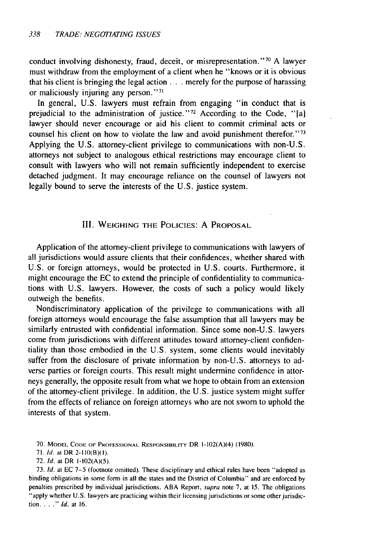conduct involving dishonesty, fraud, deceit, or misrepresentation."<sup>70</sup> A lawyer must withdraw from the employment of a client when he "knows or it is obvious that his client is bringing the legal action **. . .** merely for the purpose of harassing or maliciously injuring any person."'"

In general, U.S. lawyers must refrain from engaging "in conduct that is prejudicial to the administration of justice."<sup>72</sup> According to the Code, "[a] lawyer should never encourage or aid his client to commit criminal acts or counsel his client on how to violate the law and avoid punishment therefor." <sup>73</sup> Applying the U.S. attorney-client privilege to communications with non-U.S. attorneys not subject to analogous ethical restrictions may encourage client to consult with lawyers who will not remain sufficiently independent to exercise detached judgment. It may encourage reliance on the counsel of lawyers not legally bound to serve the interests of the U.S. justice system.

#### III. **WEIGHING** THE **POLICIES:** A PROPOSAL

Application of the attorney-client privilege to communications with lawyers of all jurisdictions would assure clients that their confidences, whether shared with U.S. or foreign attorneys, would be protected in U.S. courts. Furthermore, it might encourage the EC to extend the principle of confidentiality to communications with U.S. lawyers. However, the costs of such a policy would likely outweigh the benefits.

Nondiscriminatory application of the privilege to communications with all foreign attorneys would encourage the false assumption that all lawyers may be similarly entrusted with confidential information. Since some non-U.S. lawyers come from jurisdictions with different attitudes toward attorney-client confidentiality than those embodied in the U.S. system, some clients would inevitably suffer from the disclosure of private information by non-U.S. attorneys to adverse parties or foreign courts. This result might undermine confidence in attorneys generally, the opposite result from what we hope to obtain from an extension of the attorney-client privilege. In addition, the U.S. justice system might suffer from the effects of reliance on foreign attorneys who are not sworn to uphold the interests of that system.

73. Id. at EC **7-5** (footnote omitted). These disciplinary and ethical rules have been "adopted as binding obligations in some form in all the states and the District of Columbia" and are enforced by penalties prescribed by individual jurisdictions. ABA Report, *supra* note 7, at 15. The obligations "apply whether U.S. lawyers are practicing within their licensing jurisdictions or some other jurisdiction **....** *"* **Id.** at 16.

**<sup>70.</sup>** MODEL **CODE OF** PROFESSIONAL RESPONSIBILITY DR 1-102(A)(4) (1980).

<sup>71.</sup> Id. at DR 2-110(B)(I).

<sup>72.</sup> *Id.* at DR 1-102(A)(5).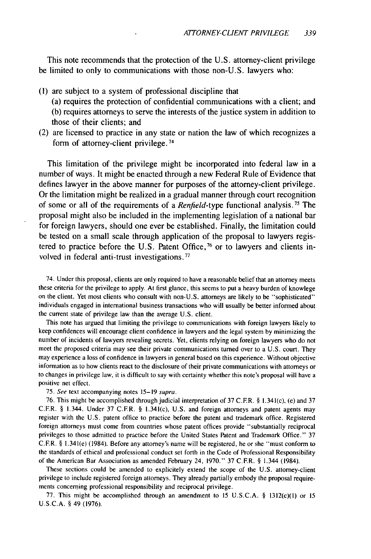This note recommends that the protection of the U.S. attorney-client privilege be limited to only to communications with those non-U.S. lawyers who:

- (1) are subject to a system of professional discipline that (a) requires the protection of confidential communications with a client; and (b) requires attorneys to serve the interests of the justice system in addition to those of their clients; and
- (2) are licensed to practice in any state or nation the law of which recognizes a form of attorney-client privilege.<sup>74</sup>

This limitation of the privilege might be incorporated into federal law in a number of ways. It might be enacted through a new Federal Rule of Evidence that defines lawyer in the above manner for purposes of the attorney-client privilege. Or the limitation might be realized in a gradual manner through court recognition of some or all of the requirements of a *Renfield-type* functional analysis.75 The proposal might also be included in the implementing legislation of a national bar for foreign lawyers, should one ever be established. Finally, the limitation could be tested on a small scale through application of the proposal to lawyers registered to practice before the U.S. Patent Office,  $\frac{76}{6}$  or to lawyers and clients involved in federal anti-trust investigations.<sup>77</sup>

74. Under this proposal, clients are only required to have a reasonable belief that an attorney meets these criteria for the privilege to apply. At first glance, this seems to put a heavy burden of knowlege on the client. Yet most clients who consult with non-U.S. attorneys are likely to be "sophisticated" individuals engaged in international business transactions who will usually be better informed about the current state of privilege law than the average U.S. client.

This note has argued that limiting the privilege to communications with foreign lawyers likely to keep confidences will encourage client confidence in lawyers and the legal system by minimizing the number of incidents of lawyers revealing secrets. Yet, clients relying on foreign lawyers who do not meet the proposed criteria may see their private communications turned over to a U.S. court. They may experience a loss of confidence in lawyers in general based on this experience. Without objective information as to how clients react to the disclosure of their private communications with attorneys or to changes in privilege law, it is difficult to say with certainty whether this note's proposal will have a positive net effect.

75. See text accompanying notes 15-19 supra.

76. This might be accomplished through judicial interpretation of 37 C.FR. § 1.341(c), (e) and 37 C.FR. § 1.344. Under 37 C.FR. § 1.341(c), U.S. and foreign attorneys and patent agents may register with the U.S. patent office to practice before the patent and trademark office. Registered foreign attorneys must come from countries whose patent offices provide "substantially reciprocal privileges to those admitted to practice before the United States Patent and Trademark Office." 37 C.FR. § 1.341(e) (1984). Before any attorney's name will be registered, he or she "must conform to the standards of ethical and professional conduct set forth in the Code of Professional Responsibility of the American Bar Association as amended February 24, 1970." 37 C.F.R. § 1.344 (1984).

These sections could be amended to explicitely extend the scope of the U.S. attorney-client privilege to include registered foreign attorneys. They already partially embody the proposal requirements concerning professional responsibility and reciprocal privilege.

77. This might be accomplished through an amendment to 15 U.S.C.A. § 1312(c)(1) or 15 U.S.C.A. § 49 (1976).